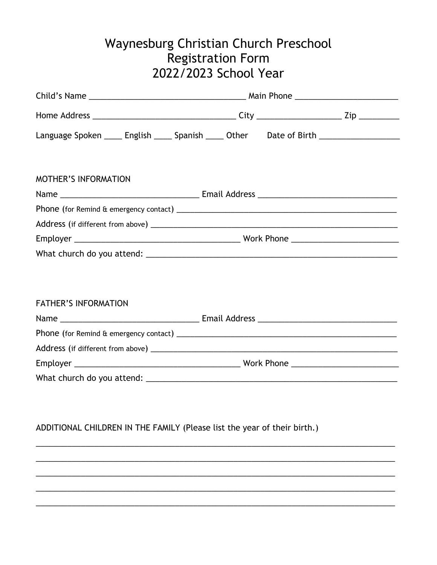## Waynesburg Christian Church Preschool Registration Form 2022/2023 School Year

| Language Spoken _____ English _____ Spanish _____ Other Date of Birth _________________ |  |  |
|-----------------------------------------------------------------------------------------|--|--|
|                                                                                         |  |  |
| <b>MOTHER'S INFORMATION</b>                                                             |  |  |
|                                                                                         |  |  |
|                                                                                         |  |  |
|                                                                                         |  |  |
|                                                                                         |  |  |
|                                                                                         |  |  |
|                                                                                         |  |  |
|                                                                                         |  |  |
| <b>FATHER'S INFORMATION</b>                                                             |  |  |
|                                                                                         |  |  |

| Address (if different from above) ______ |            |
|------------------------------------------|------------|
| Employer                                 | Work Phone |
| What church do you attend:               |            |

## ADDITIONAL CHILDREN IN THE FAMILY (Please list the year of their birth.)